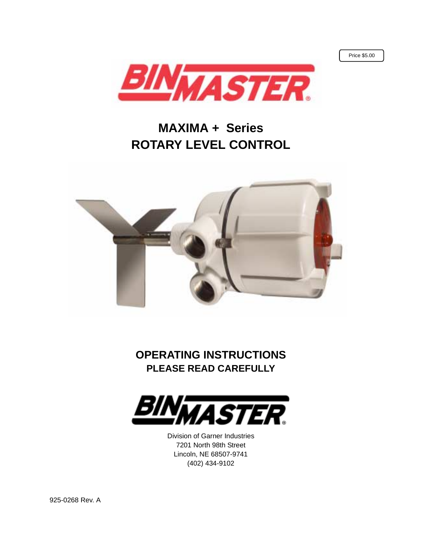Price \$5.00



## **MAXIMA + Series ROTARY LEVEL CONTROL**



**OPERATING INSTRUCTIONS PLEASE READ CAREFULLY**



Division of Garner Industries 7201 North 98th Street Lincoln, NE 68507-9741 (402) 434-9102

925-0268 Rev. A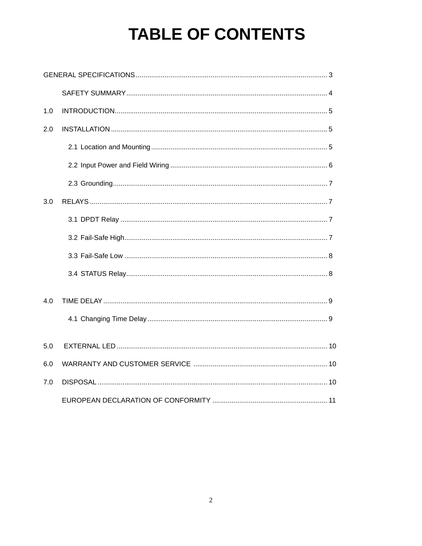# **TABLE OF CONTENTS**

| 1.0 |  |
|-----|--|
| 2.0 |  |
|     |  |
|     |  |
|     |  |
| 3.0 |  |
|     |  |
|     |  |
|     |  |
|     |  |
| 4.0 |  |
|     |  |
| 5.0 |  |
| 6.0 |  |
| 7.0 |  |
|     |  |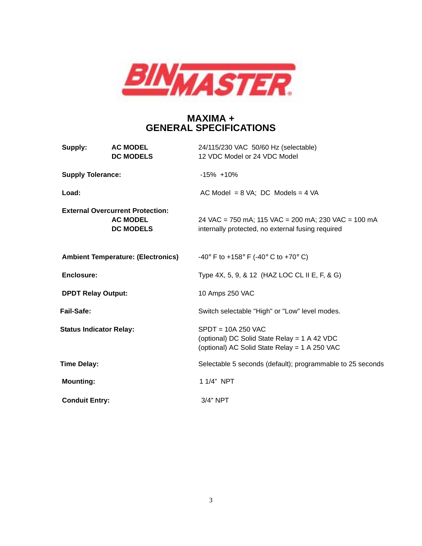

#### **MAXIMA + GENERAL SPECIFICATIONS**

| Supply:                   | <b>AC MODEL</b><br><b>DC MODELS</b>                                            | 24/115/230 VAC 50/60 Hz (selectable)<br>12 VDC Model or 24 VDC Model                                                   |
|---------------------------|--------------------------------------------------------------------------------|------------------------------------------------------------------------------------------------------------------------|
| <b>Supply Tolerance:</b>  |                                                                                | $-15\% + 10\%$                                                                                                         |
| Load:                     |                                                                                | AC Model = $8$ VA; DC Models = $4$ VA                                                                                  |
|                           | <b>External Overcurrent Protection:</b><br><b>AC MODEL</b><br><b>DC MODELS</b> | 24 VAC = 750 mA; 115 VAC = 200 mA; 230 VAC = 100 mA<br>internally protected, no external fusing required               |
|                           | <b>Ambient Temperature: (Electronics)</b>                                      | -40° F to +158° F (-40° C to +70° C)                                                                                   |
| <b>Enclosure:</b>         |                                                                                | Type 4X, 5, 9, & 12 (HAZ LOC CL II E, F, & G)                                                                          |
| <b>DPDT Relay Output:</b> |                                                                                | 10 Amps 250 VAC                                                                                                        |
| Fail-Safe:                |                                                                                | Switch selectable "High" or "Low" level modes.                                                                         |
|                           | <b>Status Indicator Relay:</b>                                                 | $S$ PDT = 10A 250 VAC<br>(optional) DC Solid State Relay = 1 A 42 VDC<br>(optional) AC Solid State Relay = 1 A 250 VAC |
| <b>Time Delay:</b>        |                                                                                | Selectable 5 seconds (default); programmable to 25 seconds                                                             |
| <b>Mounting:</b>          |                                                                                | 1 1/4" NPT                                                                                                             |
| <b>Conduit Entry:</b>     |                                                                                | 3/4" NPT                                                                                                               |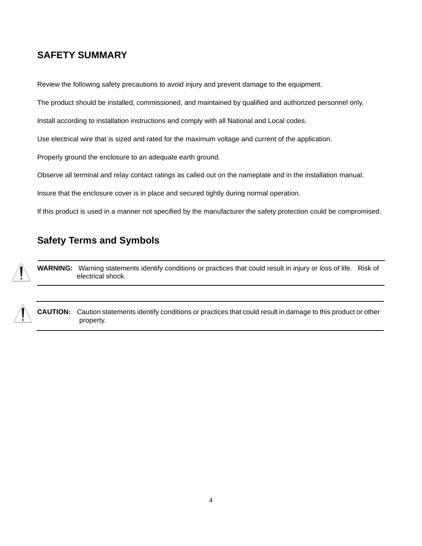### **SAFETY SUMMARY**

Review the following safety precautions to avoid injury and prevent damage to the equipment.

The product should be installed, commissioned, and maintained by qualified and authorized personnel only.

Install according to installation instructions and comply with all National and Local codes.

Use electrical wire that is sized and rated for the maximum voltage and current of the application.

Properly ground the enclosure to an adequate earth ground.

Observe all terminal and relay contact ratings as called out on the nameplate and in the installation manual.

Insure that the enclosure cover is in place and secured tightly during normal operation.

If this product is used in a manner not specified by the manufacturer the safety protection could be compromised.

### **Safety Terms and Symbols**

**WARNING:** Warning statements identify conditions or practices that could result in injury or loss of life. Risk of electrical shock.

**CAUTION:** Caution statements identify conditions or practices that could result in damage to this product or other property.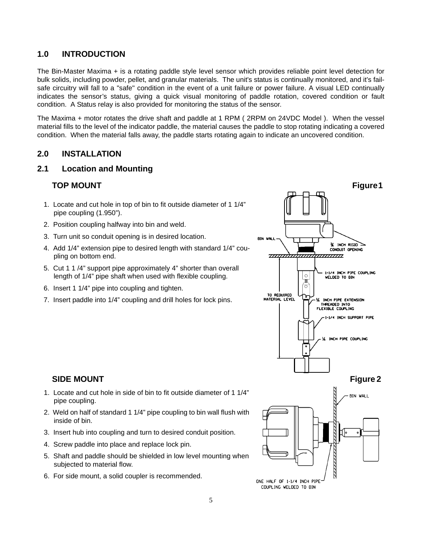#### **1.0 INTRODUCTION**

The Bin-Master Maxima + is a rotating paddle style level sensor which provides reliable point level detection for bulk solids, including powder, pellet, and granular materials. The unit's status is continually monitored, and it's failsafe circuitry will fall to a "safe" condition in the event of a unit failure or power failure. A visual LED continually indicates the sensor's status, giving a quick visual monitoring of paddle rotation, covered condition or fault condition. A Status relay is also provided for monitoring the status of the sensor.

The Maxima + motor rotates the drive shaft and paddle at 1 RPM ( 2RPM on 24VDC Model ). When the vessel material fills to the level of the indicator paddle, the material causes the paddle to stop rotating indicating a covered condition. When the material falls away, the paddle starts rotating again to indicate an uncovered condition.

#### **2.0 INSTALLATION**

#### **2.1 Location and Mounting**

- 1. Locate and cut hole in top of bin to fit outside diameter of 1 1/4" pipe coupling (1.950").
- 2. Position coupling halfway into bin and weld.
- 3. Turn unit so conduit opening is in desired location.
- 4. Add 1/4" extension pipe to desired length with standard 1/4" coupling on bottom end.
- 5. Cut 1 1 /4" support pipe approximately 4" shorter than overall length of 1/4" pipe shaft when used with flexible coupling.
- 6. Insert 1 1/4" pipe into coupling and tighten.
- 7. Insert paddle into 1/4" coupling and drill holes for lock pins.



#### **SIDE MOUNT** Figure 2

- 1. Locate and cut hole in side of bin to fit outside diameter of 1 1/4" pipe coupling.
- 2. Weld on half of standard 1 1/4" pipe coupling to bin wall flush with inside of bin.
- 3. Insert hub into coupling and turn to desired conduit position.
- 4. Screw paddle into place and replace lock pin.
- 5. Shaft and paddle should be shielded in low level mounting when subjected to material flow.
- 6. For side mount, a solid coupler is recommended.

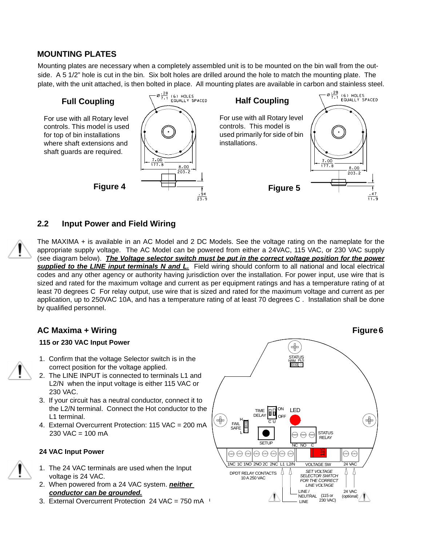#### **MOUNTING PLATES**

Mounting plates are necessary when a completely assembled unit is to be mounted on the bin wall from the outside. A 5 1/2" hole is cut in the bin. Six bolt holes are drilled around the hole to match the mounting plate. The plate, with the unit attached, is then bolted in place. All mounting plates are available in carbon and stainless steel.



#### **2.2 Input Power and Field Wiring**

The MAXIMA + is available in an AC Model and 2 DC Models. See the voltage rating on the nameplate for the appropriate supply voltage. The AC Model can be powered from either a 24VAC, 115 VAC, or 230 VAC supply (see diagram below). *The Voltage selector switch must be put in the correct voltage position for the power supplied to the LINE input terminals N and L.* Field wiring should conform to all national and local electrical codes and any other agency or authority having jurisdiction over the installation. For power input, use wire that is sized and rated for the maximum voltage and current as per equipment ratings and has a temperature rating of at least 70 degrees C For relay output, use wire that is sized and rated for the maximum voltage and current as per application, up to 250VAC 10A, and has a temperature rating of at least 70 degrees C . Installation shall be done by qualified personnel.

#### **AC Maxima + Wiring Figure 6 CONSUMING THE CONSUMING TEAM**

#### **115 or 230 VAC Input Power**



- 1. Confirm that the voltage Selector switch is in the correct position for the voltage applied.
- 2. The LINE INPUT is connected to terminals L1 and L2/N when the input voltage is either 115 VAC or 230 VAC.
- 3. If your circuit has a neutral conductor, connect it to the L2/N terminal. Connect the Hot conductor to the L1 terminal.
- 4. External Overcurrent Protection: 115 VAC = 200 mA 230 VAC = 100 mA

#### **24 VAC Input Power**

- 1. The 24 VAC terminals are used when the Input voltage is 24 VAC.
- 2. When powered from a 24 VAC system. *neither conductor can be grounded.*
- 3. External Overcurrent Protection 24 VAC = 750 mA

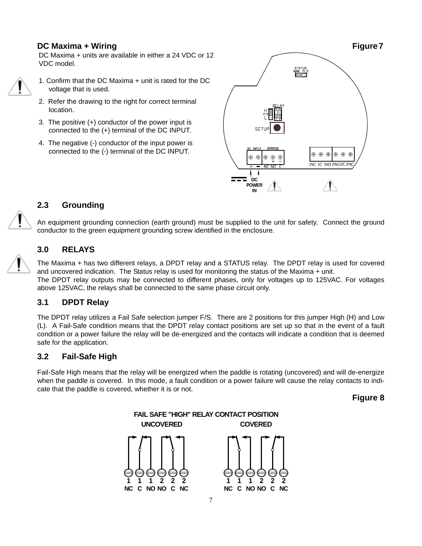DC Maxima + units are available in either a 24 VDC or 12 VDC model.



1. Confirm that the DC Maxima + unit is rated for the DC voltage that is used.

- 2. Refer the drawing to the right for correct terminal location.
- 3. The positive (+) conductor of the power input is connected to the (+) terminal of the DC INPUT.
- 4. The negative (-) conductor of the input power is connected to the (-) terminal of the DC INPUT.



#### **2.3 Grounding**

An equipment grounding connection (earth ground) must be supplied to the unit for safety. Connect the ground conductor to the green equipment grounding screw identified in the enclosure.

#### **3.0 RELAYS**

The Maxima + has two different relays, a DPDT relay and a STATUS relay. The DPDT relay is used for covered and uncovered indication. The Status relay is used for monitoring the status of the Maxima + unit. The DPDT relay outputs may be connected to different phases, only for voltages up to 125VAC. For voltages above 125VAC, the relays shall be connected to the same phase circuit only.

#### **3.1 DPDT Relay**

The DPDT relay utilizes a Fail Safe selection jumper F/S. There are 2 positions for this jumper High (H) and Low (L). A Fail-Safe condition means that the DPDT relay contact positions are set up so that in the event of a fault condition or a power failure the relay will be de-energized and the contacts will indicate a condition that is deemed safe for the application.

#### **3.2 Fail-Safe High**

Fail-Safe High means that the relay will be energized when the paddle is rotating (uncovered) and will de-energize when the paddle is covered. In this mode, a fault condition or a power failure will cause the relay contacts to indicate that the paddle is covered, whether it is or not.

**Figure 8**

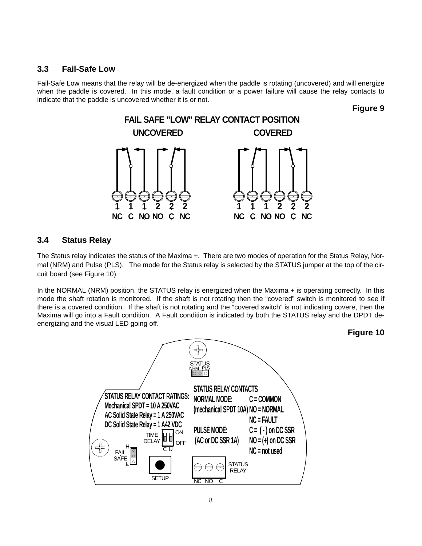#### **3.3 Fail-Safe Low**

Fail-Safe Low means that the relay will be de-energized when the paddle is rotating (uncovered) and will energize when the paddle is covered. In this mode, a fault condition or a power failure will cause the relay contacts to indicate that the paddle is uncovered whether it is or not.

**Figure 9**



#### **3.4 Status Relay**

The Status relay indicates the status of the Maxima +. There are two modes of operation for the Status Relay, Normal (NRM) and Pulse (PLS). The mode for the Status relay is selected by the STATUS jumper at the top of the circuit board (see Figure 10).

In the NORMAL (NRM) position, the STATUS relay is energized when the Maxima + is operating correctly. In this mode the shaft rotation is monitored. If the shaft is not rotating then the "covered" switch is monitored to see if there is a covered condition. If the shaft is not rotating and the "covered switch" is not indicating covere, then the Maxima will go into a Fault condition. A Fault condition is indicated by both the STATUS relay and the DPDT deenergizing and the visual LED going off.

**Figure 10**

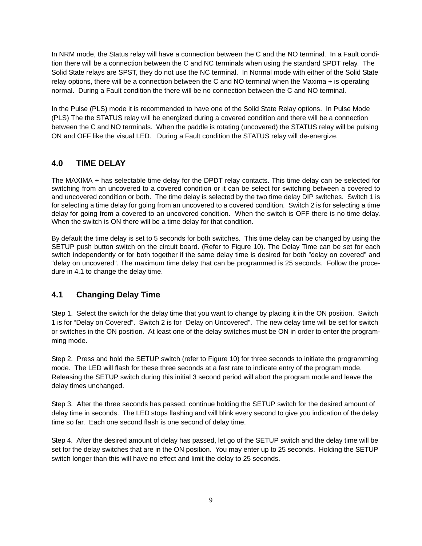In NRM mode, the Status relay will have a connection between the C and the NO terminal. In a Fault condition there will be a connection between the C and NC terminals when using the standard SPDT relay. The Solid State relays are SPST, they do not use the NC terminal. In Normal mode with either of the Solid State relay options, there will be a connection between the C and NO terminal when the Maxima + is operating normal. During a Fault condition the there will be no connection between the C and NO terminal.

In the Pulse (PLS) mode it is recommended to have one of the Solid State Relay options. In Pulse Mode (PLS) The the STATUS relay will be energized during a covered condition and there will be a connection between the C and NO terminals. When the paddle is rotating (uncovered) the STATUS relay will be pulsing ON and OFF like the visual LED. During a Fault condition the STATUS relay will de-energize.

#### **4.0 TIME DELAY**

The MAXIMA + has selectable time delay for the DPDT relay contacts. This time delay can be selected for switching from an uncovered to a covered condition or it can be select for switching between a covered to and uncovered condition or both. The time delay is selected by the two time delay DIP switches. Switch 1 is for selecting a time delay for going from an uncovered to a covered condition. Switch 2 is for selecting a time delay for going from a covered to an uncovered condition. When the switch is OFF there is no time delay. When the switch is ON there will be a time delay for that condition.

By default the time delay is set to 5 seconds for both switches. This time delay can be changed by using the SETUP push button switch on the circuit board. (Refer to Figure 10). The Delay Time can be set for each switch independently or for both together if the same delay time is desired for both "delay on covered" and "delay on uncovered". The maximum time delay that can be programmed is 25 seconds. Follow the procedure in 4.1 to change the delay time.

#### **4.1 Changing Delay Time**

Step 1. Select the switch for the delay time that you want to change by placing it in the ON position. Switch 1 is for "Delay on Covered". Switch 2 is for "Delay on Uncovered". The new delay time will be set for switch or switches in the ON position. At least one of the delay switches must be ON in order to enter the programming mode.

Step 2. Press and hold the SETUP switch (refer to Figure 10) for three seconds to initiate the programming mode. The LED will flash for these three seconds at a fast rate to indicate entry of the program mode. Releasing the SETUP switch during this initial 3 second period will abort the program mode and leave the delay times unchanged.

Step 3. After the three seconds has passed, continue holding the SETUP switch for the desired amount of delay time in seconds. The LED stops flashing and will blink every second to give you indication of the delay time so far. Each one second flash is one second of delay time.

Step 4. After the desired amount of delay has passed, let go of the SETUP switch and the delay time will be set for the delay switches that are in the ON position. You may enter up to 25 seconds. Holding the SETUP switch longer than this will have no effect and limit the delay to 25 seconds.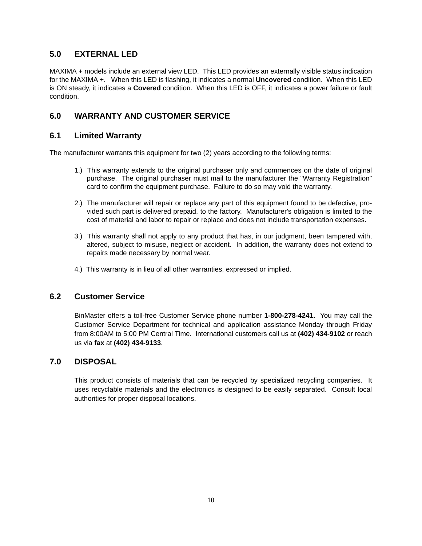#### **5.0 EXTERNAL LED**

MAXIMA + models include an external view LED. This LED provides an externally visible status indication for the MAXIMA +. When this LED is flashing, it indicates a normal **Uncovered** condition. When this LED is ON steady, it indicates a **Covered** condition. When this LED is OFF, it indicates a power failure or fault condition.

#### **6.0 WARRANTY AND CUSTOMER SERVICE**

#### **6.1 Limited Warranty**

The manufacturer warrants this equipment for two (2) years according to the following terms:

- 1.) This warranty extends to the original purchaser only and commences on the date of original purchase. The original purchaser must mail to the manufacturer the "Warranty Registration" card to confirm the equipment purchase. Failure to do so may void the warranty.
- 2.) The manufacturer will repair or replace any part of this equipment found to be defective, provided such part is delivered prepaid, to the factory. Manufacturer's obligation is limited to the cost of material and labor to repair or replace and does not include transportation expenses.
- 3.) This warranty shall not apply to any product that has, in our judgment, been tampered with, altered, subject to misuse, neglect or accident. In addition, the warranty does not extend to repairs made necessary by normal wear.
- 4.) This warranty is in lieu of all other warranties, expressed or implied.

#### **6.2 Customer Service**

BinMaster offers a toll-free Customer Service phone number **1-800-278-4241.** You may call the Customer Service Department for technical and application assistance Monday through Friday from 8:00AM to 5:00 PM Central Time. International customers call us at **(402) 434-9102** or reach us via **fax** at **(402) 434-9133**.

#### **7.0 DISPOSAL**

This product consists of materials that can be recycled by specialized recycling companies. It uses recyclable materials and the electronics is designed to be easily separated. Consult local authorities for proper disposal locations.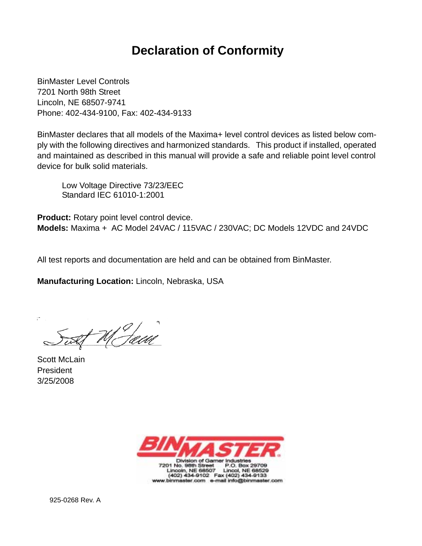## **Declaration of Conformity**

BinMaster Level Controls 7201 North 98th Street Lincoln, NE 68507-9741 Phone: 402-434-9100, Fax: 402-434-9133

BinMaster declares that all models of the Maxima+ level control devices as listed below comply with the following directives and harmonized standards. This product if installed, operated and maintained as described in this manual will provide a safe and reliable point level control device for bulk solid materials.

Low Voltage Directive 73/23/EEC Standard IEC 61010-1:2001

**Product:** Rotary point level control device. **Models:** Maxima + AC Model 24VAC / 115VAC / 230VAC; DC Models 12VDC and 24VDC

All test reports and documentation are held and can be obtained from BinMaster.

**Manufacturing Location:** Lincoln, Nebraska, USA

 $\frac{1}{1}$ M Jam

Scott McLain President 3/25/2008



925-0268 Rev. A